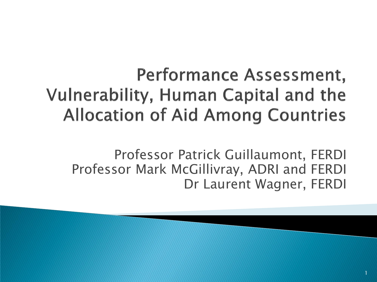#### Performance Assessment, **Vulnerability, Human Capital and the Allocation of Aid Among Countries**

Professor Patrick Guillaumont, FERDI Professor Mark McGillivray, ADRI and FERDI Dr Laurent Wagner, FERDI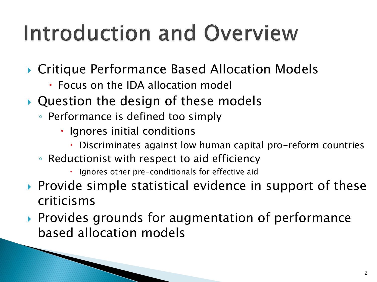## Introduction and Overview

- ▶ Critique Performance Based Allocation Models
	- Focus on the IDA allocation model
- ▶ Question the design of these models
	- Performance is defined too simply
		- Ignores initial conditions
			- Discriminates against low human capital pro-reform countries
	- Reductionist with respect to aid efficiency
		- $\cdot$  Ignores other pre-conditionals for effective aid
- $\triangleright$  Provide simple statistical evidence in support of these criticisms
- ▶ Provides grounds for augmentation of performance based allocation models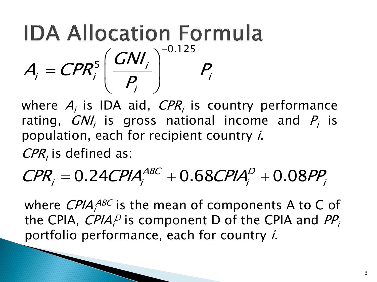**IDA Allocation Formula**  

$$
A_{i} = \text{CPR}_{i}^{5} \left( \frac{\text{GN}}{P_{i}} \right)^{-0.125} P_{i}
$$

where  $A_i$  is IDA aid,  $\mathit{CPR}_i$  is country performance rating,  $GNl_i$  is gross national income and  $P_i$  is population, each for recipient country i.

 $CPR<sub>i</sub>$  is defined as:

# population, each for recipient country *r.*<br>  $\textit{CPR}_i$  is defined as:<br>  $\textit{CPR}_i = 0.24 \textit{CPIA}_i^{\textit{ABC}} + 0.68 \textit{CPIA}_i^{\textit{D}} + 0.08 \textit{PP}_i$

where  $\mathit{CPIA}_i^\mathit{ABC}$  is the mean of components A to C of the CPIA,  $\mathit{CPIA}_i^D$  is component D of the CPIA and  $\mathit{PP}_i^T$ portfolio performance, each for country i.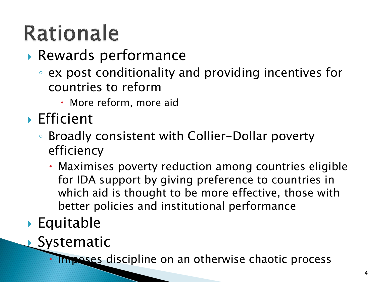## **Rationale**

- Rewards performance
	- ex post conditionality and providing incentives for countries to reform
		- More reform, more aid
- **Efficient** 
	- Broadly consistent with Collier-Dollar poverty efficiency
		- Maximises poverty reduction among countries eligible for IDA support by giving preference to countries in which aid is thought to be more effective, those with better policies and institutional performance
- ▶ Equitable
- **Systematic**

Imposes discipline on an otherwise chaotic process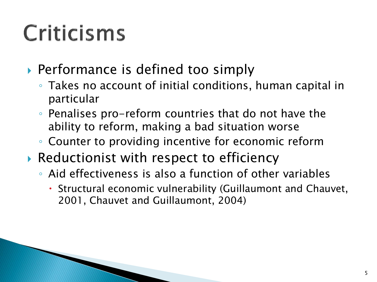## Criticisms

- ▶ Performance is defined too simply
	- Takes no account of initial conditions, human capital in particular
	- Penalises pro-reform countries that do not have the ability to reform, making a bad situation worse
	- Counter to providing incentive for economic reform
- ▶ Reductionist with respect to efficiency
	- Aid effectiveness is also a function of other variables
		- Structural economic vulnerability (Guillaumont and Chauvet, 2001, Chauvet and Guillaumont, 2004)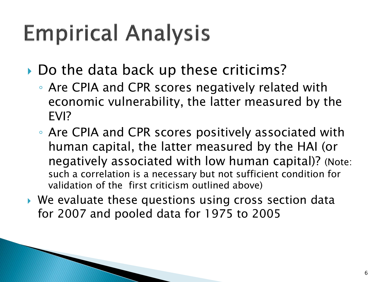## **Empirical Analysis**

Do the data back up these criticims?

- Are CPIA and CPR scores negatively related with economic vulnerability, the latter measured by the EVI?
- Are CPIA and CPR scores positively associated with human capital, the latter measured by the HAI (or negatively associated with low human capital)? (Note: such a correlation is a necessary but not sufficient condition for validation of the first criticism outlined above)
- We evaluate these questions using cross section data for 2007 and pooled data for 1975 to 2005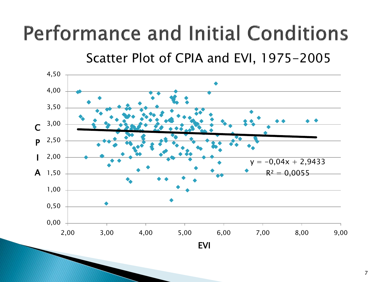### **Performance and Initial Conditions**

Scatter Plot of CPIA and EVI, 1975-2005



7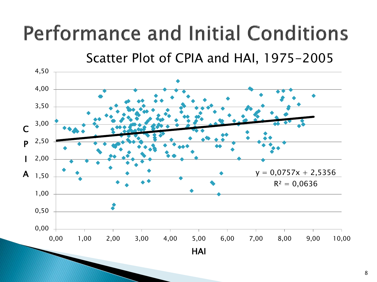### **Performance and Initial Conditions**

Scatter Plot of CPIA and HAI, 1975-2005

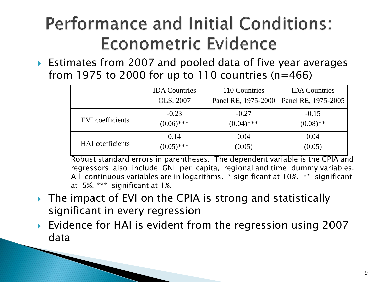#### **Performance and Initial Conditions:** Econometric Evidence

 Estimates from 2007 and pooled data of five year averages from 1975 to 2000 for up to 110 countries ( $n=466$ )

|                         | <b>IDA</b> Countries | 110 Countries       | <b>IDA</b> Countries |
|-------------------------|----------------------|---------------------|----------------------|
|                         | OLS, 2007            | Panel RE, 1975-2000 | Panel RE, 1975-2005  |
| <b>EVI</b> coefficients | $-0.23$              | $-0.27$             | $-0.15$              |
|                         | $(0.06)$ ***         | $(0.04)$ ***        | $(0.08)$ **          |
| <b>HAI</b> coefficients | 0.14                 | 0.04                | 0.04                 |
|                         | $(0.05)$ ***         | (0.05)              | (0.05)               |

Robust standard errors in parentheses. The dependent variable is the CPIA and regressors also include GNI per capita, regional and time dummy variables. All continuous variables are in logarithms. \* significant at 10%. \*\* significant at 5%. \*\*\* significant at 1%.

- ▶ The impact of EVI on the CPIA is strong and statistically significant in every regression
- ▶ Evidence for HAI is evident from the regression using 2007 data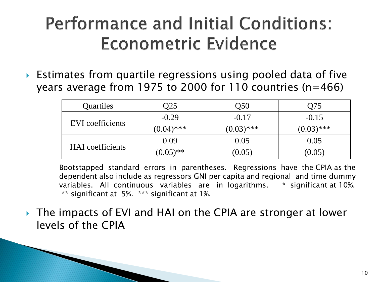#### **Performance and Initial Conditions: Econometric Evidence**

 Estimates from quartile regressions using pooled data of five years average from 1975 to 2000 for 110 countries (n=466)

| Quartiles               | O25          | O50          | O75          |
|-------------------------|--------------|--------------|--------------|
| EVI coefficients        | $-0.29$      | $-0.17$      | $-0.15$      |
|                         | $(0.04)$ *** | $(0.03)$ *** | $(0.03)$ *** |
| <b>HAI</b> coefficients | 0.09         | 0.05         | 0.05         |
|                         | $(0.05)$ **  | (0.05)       | (0.05)       |

Bootstapped standard errors in parentheses. Regressions have the CPIA as the dependent also include as regressors GNI per capita and regional and time dummy variables. All continuous variables are in logarithms. \* significant at 10%. \*\* significant at 5%. \*\*\* significant at 1%.

▶ The impacts of EVI and HAI on the CPIA are stronger at lower levels of the CPIA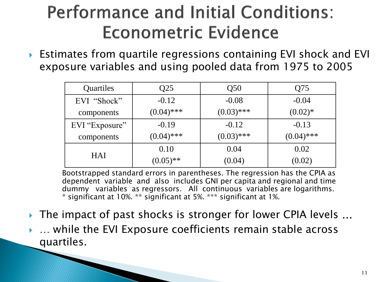#### **Performance and Initial Conditions: Econometric Evidence**

 Estimates from quartile regressions containing EVI shock and EVI exposure variables and using pooled data from 1975 to 2005

| Quartiles      | Q25          | Q <sub>50</sub> | Q75          |
|----------------|--------------|-----------------|--------------|
| EVI "Shock"    | $-0.12$      | $-0.08$         | $-0.04$      |
| components     | $(0.04)$ *** | $(0.03)$ ***    | $(0.02)*$    |
| EVI "Exposure" | $-0.19$      | $-0.12$         | $-0.13$      |
| components     | $(0.04)$ *** | $(0.03)$ ***    | $(0.04)$ *** |
| <b>HAI</b>     | 0.10         | 0.04            | 0.02         |
|                | $(0.05)$ **  | (0.04)          | (0.02)       |

Bootstrapped standard errors in parentheses. The regression has the CPIA as dependent variable and also includes GNI per capita and regional and time dummy variables as regressors. All continuous variables are logarithms. \* significant at 10%. \*\* significant at 5%. \*\*\* significant at 1%.

▶ The impact of past shocks is stronger for lower CPIA levels ... … while the EVI Exposure coefficients remain stable across quartiles.

**The Company of Company of The Company of The Company of The Company of The Company of The Company of The Company**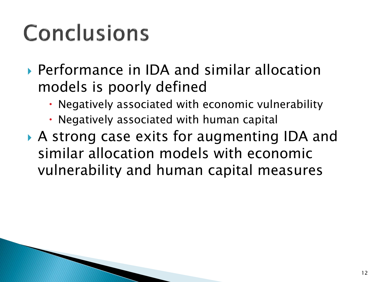## **Conclusions**

- Performance in IDA and similar allocation models is poorly defined
	- Negatively associated with economic vulnerability
	- Negatively associated with human capital
- A strong case exits for augmenting IDA and similar allocation models with economic vulnerability and human capital measures